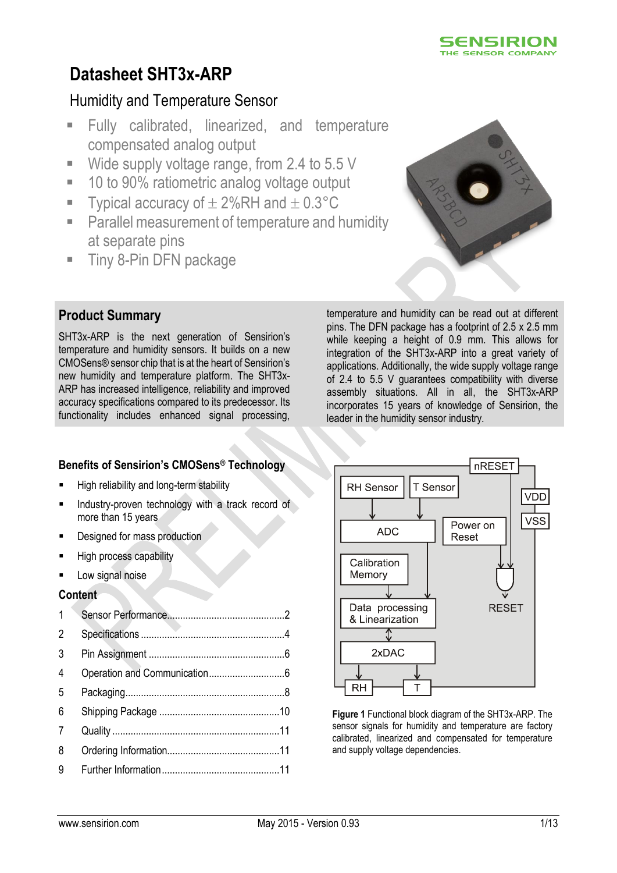

# **Datasheet SHT3x-ARP**

# Humidity and Temperature Sensor

- Fully calibrated, linearized, and temperature compensated analog output
- Wide supply voltage range, from 2.4 to 5.5 V
- 10 to 90% ratiometric analog voltage output
- Typical accuracy of  $\pm 2\%$ RH and  $\pm 0.3^{\circ}$ C
- Parallel measurement of temperature and humidity at separate pins
- **Tiny 8-Pin DFN package**



# **Product Summary**

SHT3x-ARP is the next generation of Sensirion's temperature and humidity sensors. It builds on a new CMOSens® sensor chip that is at the heart of Sensirion's new humidity and temperature platform. The SHT3x-ARP has increased intelligence, reliability and improved accuracy specifications compared to its predecessor. Its functionality includes enhanced signal processing,

temperature and humidity can be read out at different pins. The DFN package has a footprint of 2.5 x 2.5 mm while keeping a height of 0.9 mm. This allows for integration of the SHT3x-ARP into a great variety of applications. Additionally, the wide supply voltage range of 2.4 to 5.5 V guarantees compatibility with diverse assembly situations. All in all, the SHT3x-ARP incorporates 15 years of knowledge of Sensirion, the leader in the humidity sensor industry.

# **Benefits of Sensirion's CMOSens® Technology**

- **High reliability and long-term stability**
- Industry-proven technology with a track record of more than 15 years
- Designed for mass production
- High process capability
- Low signal noise

### **Content**



**Figure 1** Functional block diagram of the SHT3x-ARP. The sensor signals for humidity and temperature are factory calibrated, linearized and compensated for temperature and supply voltage dependencies.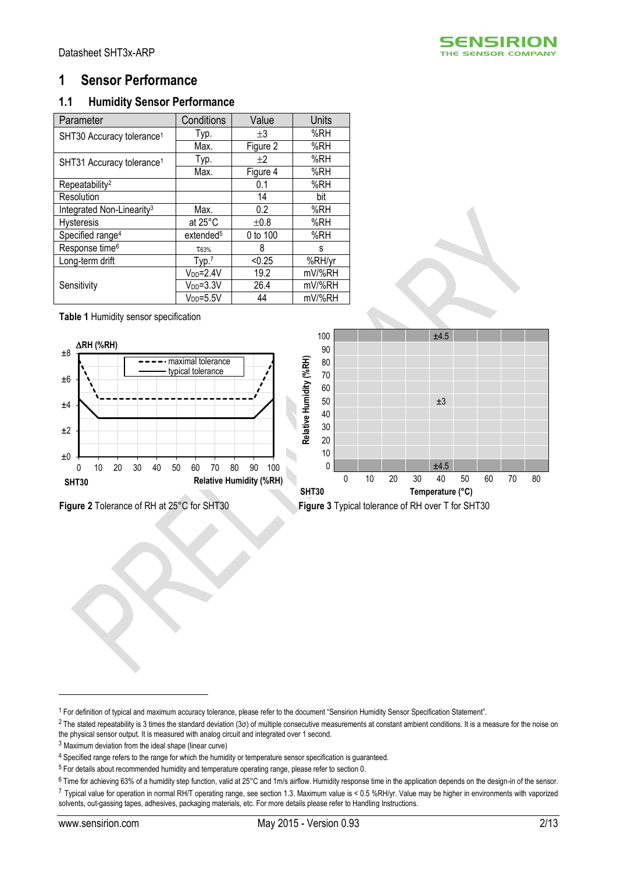

# <span id="page-1-0"></span>**1 Sensor Performance**

## **1.1 Humidity Sensor Performance**

<span id="page-1-3"></span><span id="page-1-1"></span>

| Parameter                             | Conditions            | Value    | <b>Units</b> |
|---------------------------------------|-----------------------|----------|--------------|
| SHT30 Accuracy tolerance <sup>1</sup> | Typ.                  | $+3$     | %RH          |
|                                       | Max.                  | Figure 2 | %RH          |
| SHT31 Accuracy tolerance <sup>1</sup> | Typ.                  | $+2$     | %RH          |
|                                       | Max.                  | Figure 4 | %RH          |
| Repeatability <sup>2</sup>            |                       | 0.1      | %RH          |
| Resolution                            |                       | 14       | bit          |
| Integrated Non-Linearity <sup>3</sup> | Max.                  | 0.2      | %RH          |
| <b>Hysteresis</b>                     | at $25^{\circ}$ C     | ±0.8     | %RH          |
| Specified range <sup>4</sup>          | extended <sup>5</sup> | 0 to 100 | %RH          |
| Response time <sup>6</sup>            | T63%                  | 8        | s            |
| Long-term drift                       | Type.7                | < 0.25   | %RH/yr       |
|                                       | $V_{DD} = 2.4V$       | 19.2     | mV/%RH       |
| Sensitivity                           | $V_{DD} = 3.3V$       | 26.4     | mV/%RH       |
|                                       | $V_{DD} = 5.5V$       | 44       | mV/%RH       |

**Table 1** Humidity sensor specification



<span id="page-1-2"></span>



<u>.</u>

<sup>1</sup> For definition of typical and maximum accuracy tolerance, please refer to the document "Sensirion Humidity Sensor Specification Statement".

<sup>&</sup>lt;sup>2</sup> The stated repeatability is 3 times the standard deviation (3σ) of multiple consecutive measurements at constant ambient conditions. It is a measure for the noise on the physical sensor output. It is measured with analog circuit and integrated over 1 second.

<sup>3</sup> Maximum deviation from the ideal shape (linear curve)

<sup>&</sup>lt;sup>4</sup> Specified range refers to the range for which the humidity or temperature sensor specification is guaranteed.

<sup>5</sup> For details about recommended humidity and temperature operating range, please refer to section [0.](#page-3-1)

<sup>6</sup> Time for achieving 63% of a humidity step function, valid at 25°C and 1m/s airflow. Humidity response time in the application depends on the design-in of the sensor. <sup>7</sup> Typical value for operation in normal RH/T operating range, see section [1.3.](#page-3-2) Maximum value is < 0.5 %RH/yr. Value may be higher in environments with vaporized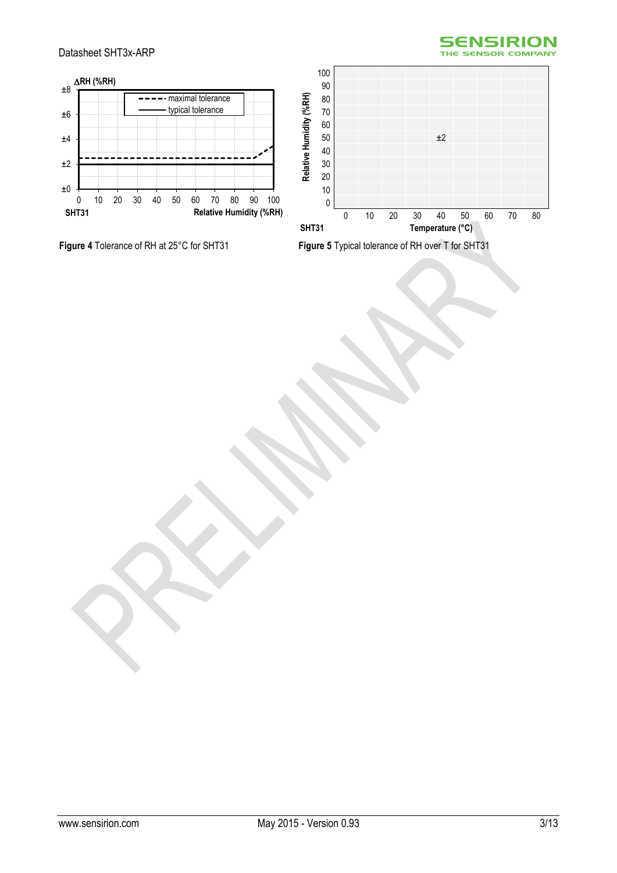

#### Datasheet SHT3x-ARP





<span id="page-2-0"></span>**Figure 4** Tolerance of RH at 25°C for SHT31 **Figure 5** Typical tolerance of RH over T for SHT31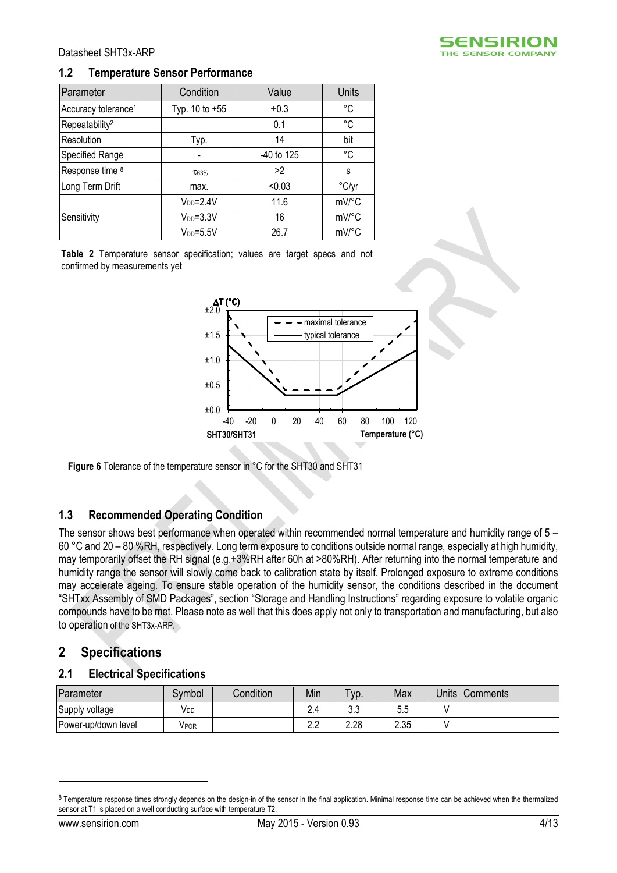

#### **1.2 Temperature Sensor Performance**

| Parameter                       | Condition       | Value      | Units |
|---------------------------------|-----------------|------------|-------|
| Accuracy tolerance <sup>1</sup> | Typ. 10 to +55  | ±0.3       | °C    |
| Repeatability <sup>2</sup>      |                 | 0.1        | °C    |
| Resolution                      | Typ.            | 14         | bit   |
| Specified Range                 |                 | -40 to 125 | °C    |
| Response time 8                 | T63%            | >2         | s     |
| Long Term Drift                 | max.            | < 0.03     | °C/yr |
|                                 | $V_{DD} = 2.4V$ | 11.6       | mV/°C |
| Sensitivity                     | $VDD=3.3V$      | 16         | mV/°C |
|                                 | $V_{DD} = 5.5V$ | 26.7       | mV/°C |

**Table 2** Temperature sensor specification; values are target specs and not confirmed by measurements yet



**Figure 6** Tolerance of the temperature sensor in °C for the SHT30 and SHT31

#### <span id="page-3-2"></span><span id="page-3-1"></span>**1.3 Recommended Operating Condition**

The sensor shows best performance when operated within recommended normal temperature and humidity range of 5 – 60 °C and 20 – 80 %RH, respectively. Long term exposure to conditions outside normal range, especially at high humidity, may temporarily offset the RH signal (e.g.+3%RH after 60h at >80%RH). After returning into the normal temperature and humidity range the sensor will slowly come back to calibration state by itself. Prolonged exposure to extreme conditions may accelerate ageing. To ensure stable operation of the humidity sensor, the conditions described in the document "SHTxx Assembly of SMD Packages", section "Storage and Handling Instructions" regarding exposure to volatile organic compounds have to be met. Please note as well that this does apply not only to transportation and manufacturing, but also to operation of the SHT3x-ARP.

# <span id="page-3-0"></span>**2 Specifications**

#### **2.1 Electrical Specifications**

| Parameter           | Symbol | Condition | Min        | Typ.      | Max  | <b>Units</b> | <b>Comments</b> |
|---------------------|--------|-----------|------------|-----------|------|--------------|-----------------|
| Supply voltage      | VDD    |           | 2.4        | າາ<br>U.J | უ.უ  |              |                 |
| Power-up/down level | VPOR   |           | n n<br>ے ۔ | 2.28      | 2.35 |              |                 |

<u>.</u>

<sup>8</sup> Temperature response times strongly depends on the design-in of the sensor in the final application. Minimal response time can be achieved when the thermalized sensor at T1 is placed on a well conducting surface with temperature T2.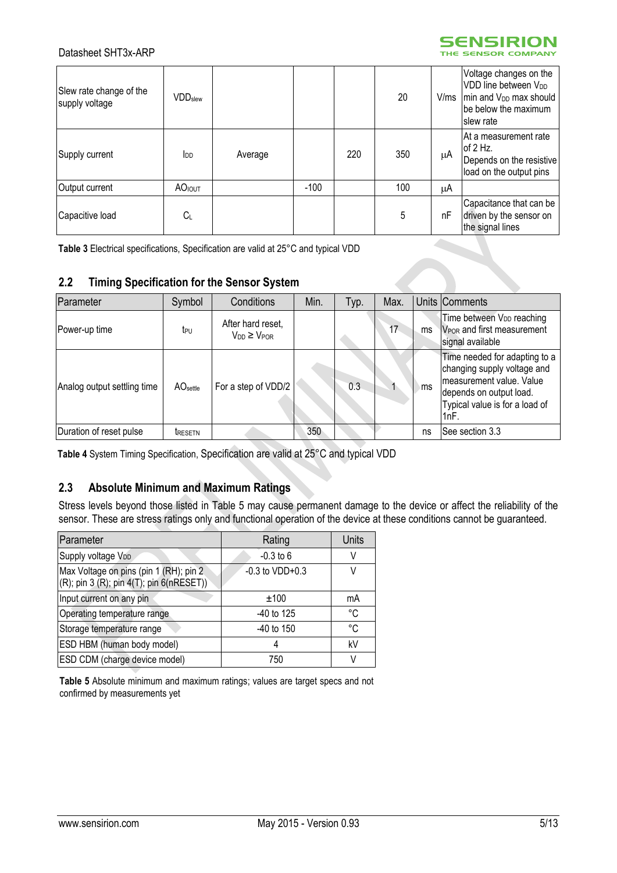



| Slew rate change of the<br>supply voltage | $\mathsf{VDD}_{\mathsf{Slew}}$ |         |        |     | 20  | V/ms | Voltage changes on the<br>VDD line between V <sub>DD</sub><br>min and V <sub>DD</sub> max should<br>be below the maximum<br>slew rate |
|-------------------------------------------|--------------------------------|---------|--------|-----|-----|------|---------------------------------------------------------------------------------------------------------------------------------------|
| Supply current                            | $I_{DD}$                       | Average |        | 220 | 350 | μA   | IAt a measurement rate<br>of $2$ Hz.<br>Depends on the resistive<br>load on the output pins                                           |
| Output current                            | <b>AO</b> <sub>IOUT</sub>      |         | $-100$ |     | 100 | μA   |                                                                                                                                       |
| Capacitive load                           | Cı                             |         |        |     | 5   | nF   | Capacitance that can be<br>driven by the sensor on<br>the signal lines                                                                |

<span id="page-4-1"></span>**Table 3** Electrical specifications, Specification are valid at 25°C and typical VDD

#### **2.2 Timing Specification for the Sensor System**

| Parameter                   | Symbol               | Conditions                                 | Min. | Typ. | Max. |     | Units Comments                                                                                                                                                 |
|-----------------------------|----------------------|--------------------------------------------|------|------|------|-----|----------------------------------------------------------------------------------------------------------------------------------------------------------------|
| Power-up time               | t <sub>PU</sub>      | After hard reset,<br>$V_{DD} \geq V_{POR}$ |      |      | 17   | ms  | Time between V <sub>DD</sub> reaching<br>V <sub>POR</sub> and first measurement<br>signal available                                                            |
| Analog output settling time | AO <sub>settle</sub> | For a step of VDD/2                        |      | 0.3  |      | ⊧ms | Time needed for adapting to a<br>changing supply voltage and<br>measurement value. Value<br>depends on output load.<br>Typical value is for a load of<br>!1nF. |
| Duration of reset pulse     | <b>TRESETN</b>       |                                            | 350  |      |      | ns  | See section 3.3                                                                                                                                                |

**Table 4** System Timing Specification, Specification are valid at 25°C and typical VDD

# **2.3 Absolute Minimum and Maximum Ratings**

Stress levels beyond those listed in [Table 5](#page-4-0) may cause permanent damage to the device or affect the reliability of the sensor. These are stress ratings only and functional operation of the device at these conditions cannot be guaranteed.

| Parameter                                                                                        | Rating              | Units       |
|--------------------------------------------------------------------------------------------------|---------------------|-------------|
| Supply voltage VDD                                                                               | $-0.3$ to 6         | V           |
| Max Voltage on pins (pin 1 (RH); pin 2<br>$(R)$ ; pin 3 $(R)$ ; pin 4 $(T)$ ; pin 6 $(nRESET)$ ) | $-0.3$ to $VDD+0.3$ | V           |
| Input current on any pin                                                                         | ±100                | mA          |
| Operating temperature range                                                                      | $-40$ to 125        | $^{\circ}C$ |
| Storage temperature range                                                                        | $-40$ to 150        | °C          |
| ESD HBM (human body model)                                                                       |                     | kV          |
| ESD CDM (charge device model)                                                                    | 750                 | V           |

<span id="page-4-0"></span>**Table 5** Absolute minimum and maximum ratings; values are target specs and not confirmed by measurements yet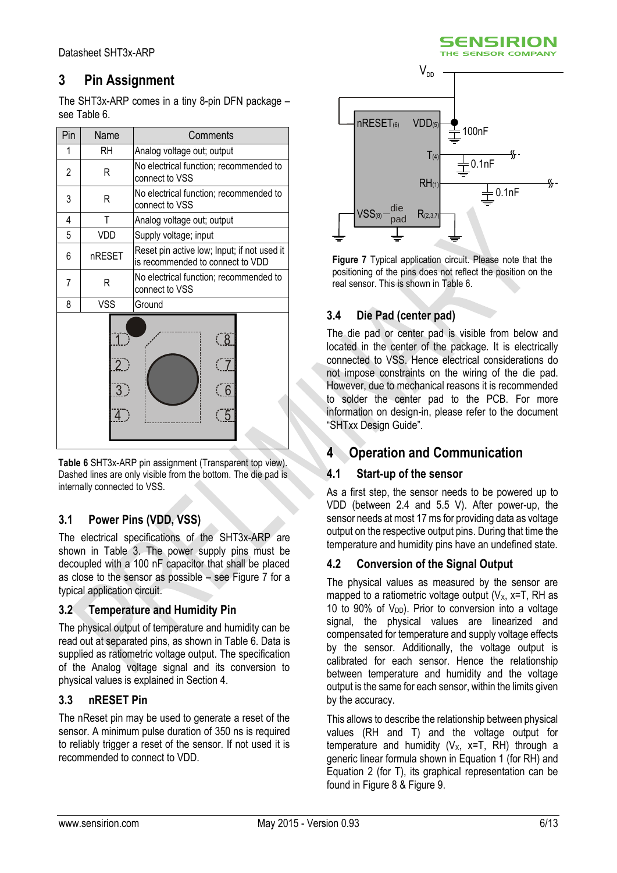# <span id="page-5-0"></span>**3 Pin Assignment**

The SHT3x-ARP comes in a tiny 8-pin DFN package  $$ see [Table 6.](#page-5-3)

| Pin | Name       | Comments                                                                        |
|-----|------------|---------------------------------------------------------------------------------|
| 1   | RH         | Analog voltage out; output                                                      |
| 2   | R          | No electrical function; recommended to<br>connect to VSS                        |
| 3   | R          | No electrical function; recommended to<br>connect to VSS                        |
| 4   | T          | Analog voltage out; output                                                      |
| 5   | VDD        | Supply voltage; input                                                           |
| 6   | nRESET     | Reset pin active low; Input; if not used it<br>is recommended to connect to VDD |
| 7   | R          | No electrical function; recommended to<br>connect to VSS                        |
| 8   | <b>VSS</b> | Ground                                                                          |
|     | $2$ )<br>3 | ି 8<br>$\overline{6}$<br>5                                                      |

<span id="page-5-3"></span>**Table 6** SHT3x-ARP pin assignment (Transparent top view). Dashed lines are only visible from the bottom. The die pad is internally connected to VSS.

# **3.1 Power Pins (VDD, VSS)**

The electrical specifications of the SHT3x-ARP are shown in [Table 3.](#page-4-1) The power supply pins must be decoupled with a 100 nF capacitor that shall be placed as close to the sensor as possible – see [Figure 7](#page-5-4) for a typical application circuit.

### **3.2 Temperature and Humidity Pin**

The physical output of temperature and humidity can be read out at separated pins, as shown i[n Table 6.](#page-5-3) Data is supplied as ratiometric voltage output. The specification of the Analog voltage signal and its conversion to physical values is explained in Sectio[n 4.](#page-5-1)

### <span id="page-5-2"></span>**3.3 nRESET Pin**

The nReset pin may be used to generate a reset of the sensor. A minimum pulse duration of 350 ns is required to reliably trigger a reset of the sensor. If not used it is recommended to connect to VDD.



<span id="page-5-4"></span>**Figure 7** Typical application circuit. Please note that the positioning of the pins does not reflect the position on the real sensor. This is shown i[n Table 6.](#page-5-3)

## **3.4 Die Pad (center pad)**

The die pad or center pad is visible from below and located in the center of the package. It is electrically connected to VSS. Hence electrical considerations do not impose constraints on the wiring of the die pad. However, due to mechanical reasons it is recommended to solder the center pad to the PCB. For more information on design-in, please refer to the document "SHTxx Design Guide".

# <span id="page-5-1"></span>**4 Operation and Communication**

### **4.1 Start-up of the sensor**

As a first step, the sensor needs to be powered up to VDD (between 2.4 and 5.5 V). After power-up, the sensor needs at most 17 ms for providing data as voltage output on the respective output pins. During that time the temperature and humidity pins have an undefined state.

### **4.2 Conversion of the Signal Output**

The physical values as measured by the sensor are mapped to a ratiometric voltage output  $(V_X, x=T, RH)$  as 10 to 90% of  $V_{DD}$ ). Prior to conversion into a voltage signal, the physical values are linearized and compensated for temperature and supply voltage effects by the sensor. Additionally, the voltage output is calibrated for each sensor. Hence the relationship between temperature and humidity and the voltage output is the same for each sensor, within the limits given by the accuracy.

This allows to describe the relationship between physical values (RH and T) and the voltage output for temperature and humidity  $(V_X, x=T, RH)$  through a generic linear formula shown in [Equation 1](#page-6-0) (for RH) and [Equation 2](#page-6-1) (for T), its graphical representation can be found in [Figure 8](#page-6-2) & [Figure 9.](#page-6-3)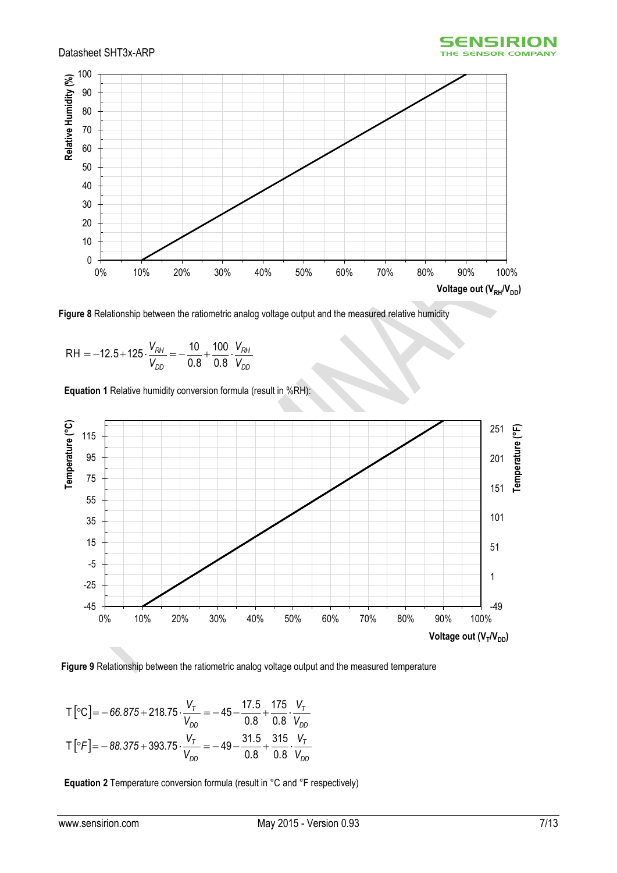



<span id="page-6-2"></span>**Figure 8** Relationship between the ratiometric analog voltage output and the measured relative humidity

$$
RH = -12.5 + 125 \cdot \frac{V_{RH}}{V_{DD}} = -\frac{10}{0.8} + \frac{100}{0.8} \cdot \frac{V_{RH}}{V_{DD}}
$$

<span id="page-6-0"></span>**Equation 1** Relative humidity conversion formula (result in %RH):



<span id="page-6-3"></span>

$$
T\left[{}^{\circ}C\right] = -66.875 + 218.75 \cdot \frac{V_{T}}{V_{DD}} = -45 - \frac{17.5}{0.8} + \frac{175}{0.8} \cdot \frac{V_{T}}{V_{DD}}
$$

$$
T\left[{}^{\circ}F\right] = -88.375 + 393.75 \cdot \frac{V_{T}}{V_{DD}} = -49 - \frac{31.5}{0.8} + \frac{315}{0.8} \cdot \frac{V_{T}}{V_{DD}}
$$

<span id="page-6-1"></span>**Equation 2** Temperature conversion formula (result in °C and °F respectively)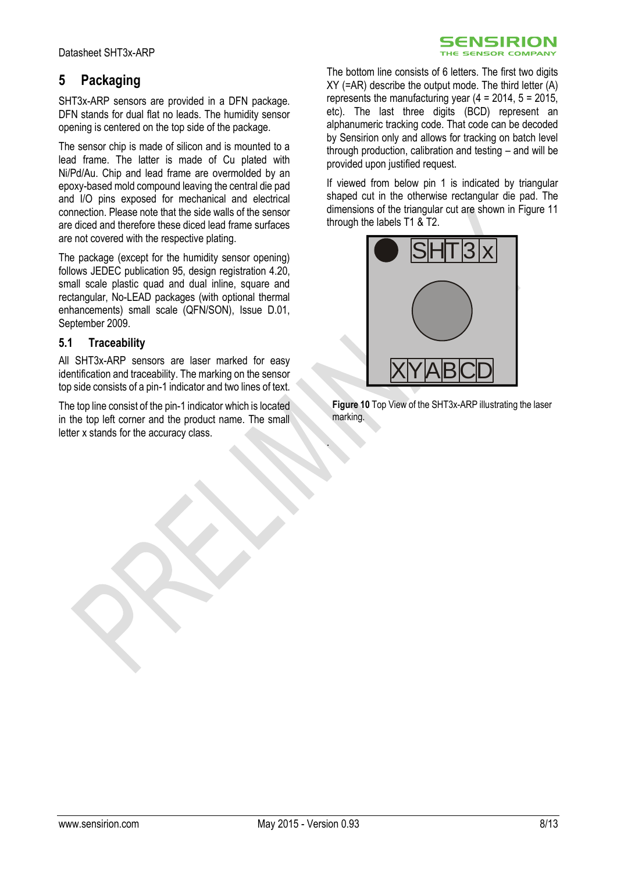# <span id="page-7-0"></span>**5 Packaging**

SHT3x-ARP sensors are provided in a DFN package. DFN stands for dual flat no leads. The humidity sensor opening is centered on the top side of the package.

The sensor chip is made of silicon and is mounted to a lead frame. The latter is made of Cu plated with Ni/Pd/Au. Chip and lead frame are overmolded by an epoxy-based mold compound leaving the central die pad and I/O pins exposed for mechanical and electrical connection. Please note that the side walls of the sensor are diced and therefore these diced lead frame surfaces are not covered with the respective plating.

The package (except for the humidity sensor opening) follows JEDEC publication 95, design registration 4.20, small scale plastic quad and dual inline, square and rectangular, No-LEAD packages (with optional thermal enhancements) small scale (QFN/SON), Issue D.01, September 2009.

#### **5.1 Traceability**

All SHT3x-ARP sensors are laser marked for easy identification and traceability. The marking on the sensor top side consists of a pin-1 indicator and two lines of text.

The top line consist of the pin-1 indicator which is located in the top left corner and the product name. The small letter x stands for the accuracy class.

The bottom line consists of 6 letters. The first two digits  $XY$  (=AR) describe the output mode. The third letter  $(A)$ represents the manufacturing year  $(4 = 2014, 5 = 2015)$ , etc). The last three digits (BCD) represent an alphanumeric tracking code. That code can be decoded by Sensirion only and allows for tracking on batch level through production, calibration and testing – and will be provided upon justified request.

SENSIRION THE SENSOR COMPANY

If viewed from below pin 1 is indicated by triangular shaped cut in the otherwise rectangular die pad. The dimensions of the triangular cut are shown in [Figure 11](#page-8-0) through the labels T1 & T2.



**Figure 10** Top View of the SHT3x-ARP illustrating the laser marking.

.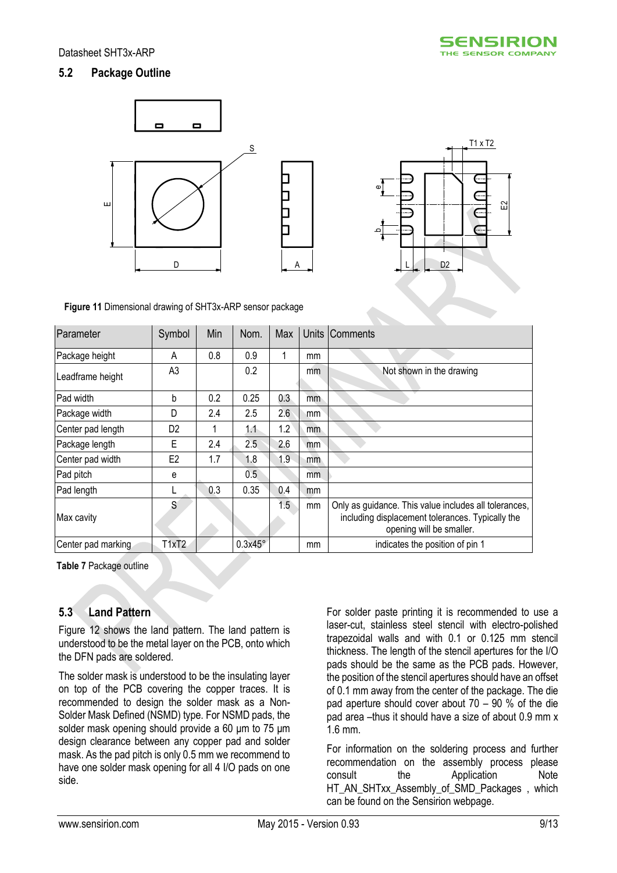## **5.2 Package Outline**



<span id="page-8-0"></span>**Figure 11** Dimensional drawing of SHT3x-ARP sensor package

| Parameter          | Symbol         | Min | Nom.           | Max |     | Units Comments                                                                                                                        |
|--------------------|----------------|-----|----------------|-----|-----|---------------------------------------------------------------------------------------------------------------------------------------|
| Package height     | A              | 0.8 | 0.9            |     | mm  |                                                                                                                                       |
| Leadframe height   | A <sub>3</sub> |     | 0.2            |     | mm  | Not shown in the drawing                                                                                                              |
| Pad width          | b              | 0.2 | 0.25           | 0.3 | mm  |                                                                                                                                       |
| Package width      | D              | 2.4 | 2.5            | 2.6 | mm  |                                                                                                                                       |
| Center pad length  | D <sub>2</sub> |     | 1.1            | 1.2 | mm. |                                                                                                                                       |
| Package length     | Е              | 2.4 | 2.5            | 2.6 | mm  |                                                                                                                                       |
| Center pad width   | E <sub>2</sub> | 1.7 | 1.8            | 1.9 | mm  |                                                                                                                                       |
| Pad pitch          | е              |     | 0.5            |     | mm. |                                                                                                                                       |
| Pad length         |                | 0.3 | 0.35           | 0.4 | mm  |                                                                                                                                       |
| Max cavity         | S              |     |                | 1.5 | mm  | Only as guidance. This value includes all tolerances,<br>including displacement tolerances. Typically the<br>opening will be smaller. |
| Center pad marking | T1xT2          |     | $0.3x45^\circ$ |     | mm  | indicates the position of pin 1                                                                                                       |

**Table 7** Package outline

### **5.3 Land Pattern**

[Figure 12](#page-9-1) shows the land pattern. The land pattern is understood to be the metal layer on the PCB, onto which the DFN pads are soldered.

The solder mask is understood to be the insulating layer on top of the PCB covering the copper traces. It is recommended to design the solder mask as a Non-Solder Mask Defined (NSMD) type. For NSMD pads, the solder mask opening should provide a 60 μm to 75 μm design clearance between any copper pad and solder mask. As the pad pitch is only 0.5 mm we recommend to have one solder mask opening for all 4 I/O pads on one side.

For solder paste printing it is recommended to use a laser-cut, stainless steel stencil with electro-polished trapezoidal walls and with 0.1 or 0.125 mm stencil thickness. The length of the stencil apertures for the I/O pads should be the same as the PCB pads. However, the position of the stencil apertures should have an offset of 0.1 mm away from the center of the package. The die pad aperture should cover about 70 – 90 % of the die pad area –thus it should have a size of about 0.9 mm x 1.6 mm.

For information on the soldering process and further recommendation on the assembly process please consult the Application Note HT\_AN\_SHTxx\_Assembly\_of\_SMD\_Packages , which can be found on the Sensirion webpage.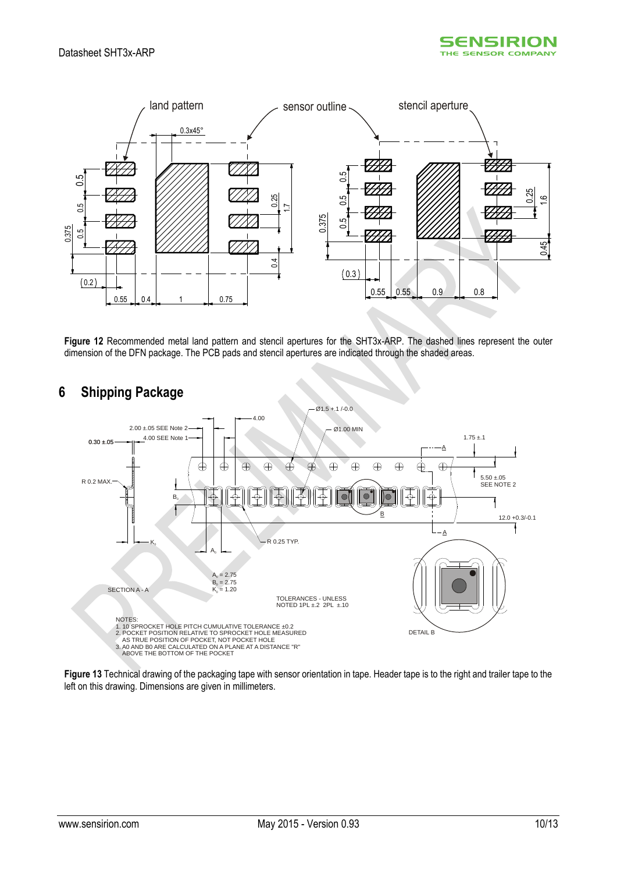



<span id="page-9-1"></span>**Figure 12** Recommended metal land pattern and stencil apertures for the SHT3x-ARP. The dashed lines represent the outer dimension of the DFN package. The PCB pads and stencil apertures are indicated through the shaded areas.



# <span id="page-9-0"></span>**6 Shipping Package**

**Figure 13** Technical drawing of the packaging tape with sensor orientation in tape. Header tape is to the right and trailer tape to the left on this drawing. Dimensions are given in millimeters.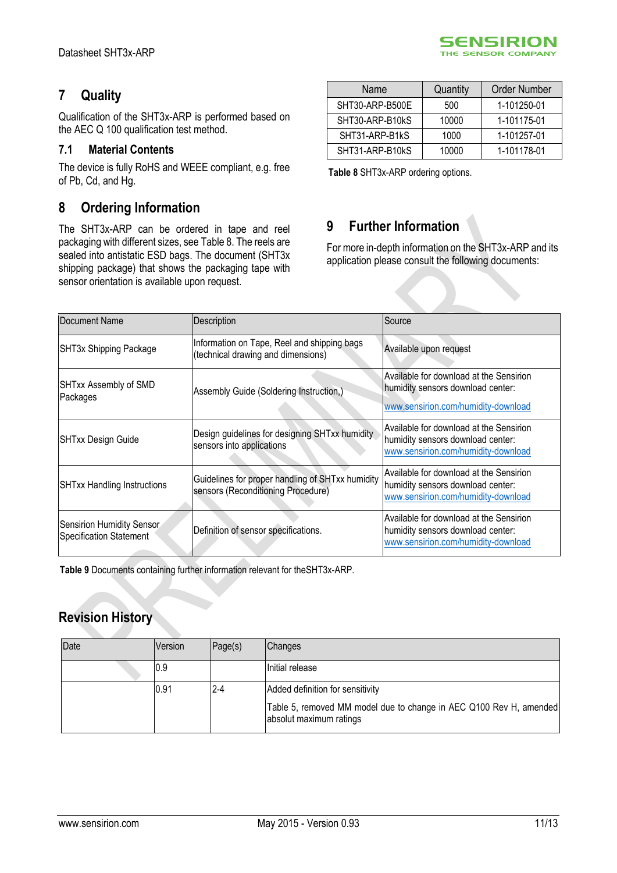# <span id="page-10-0"></span>**7 Quality**

Qualification of the SHT3x-ARP is performed based on the AEC Q 100 qualification test method.

## **7.1 Material Contents**

The device is fully RoHS and WEEE compliant, e.g. free of Pb, Cd, and Hg.

# <span id="page-10-1"></span>**8 Ordering Information**

The SHT3x-ARP can be ordered in tape and reel packaging with different sizes, see [Table 8.](#page-10-3) The reels are sealed into antistatic ESD bags. The document (SHT3x shipping package) that shows the packaging tape with sensor orientation is available upon request.

| Name            | Quantity | Order Number |
|-----------------|----------|--------------|
| SHT30-ARP-B500E | 500      | 1-101250-01  |
| SHT30-ARP-B10kS | 10000    | 1-101175-01  |
| SHT31-ARP-B1kS  | 1000     | 1-101257-01  |
| SHT31-ARP-B10kS | 10000    | 1-101178-01  |

**SENSIRION** THE SENSOR COMPANY

<span id="page-10-3"></span>**Table 8** SHT3x-ARP ordering options.

# <span id="page-10-2"></span>**9 Further Information**

For more in-depth information on the SHT3x-ARP and its application please consult the following documents:

| Document Name                                        | Description                                                                            | Source                                                                                                              |
|------------------------------------------------------|----------------------------------------------------------------------------------------|---------------------------------------------------------------------------------------------------------------------|
| SHT3x Shipping Package                               | Information on Tape, Reel and shipping bags<br>(technical drawing and dimensions)      | Available upon request                                                                                              |
| SHTxx Assembly of SMD<br>Packages                    | Assembly Guide (Soldering Instruction,)                                                | Available for download at the Sensirion<br>humidity sensors download center:<br>www.sensirion.com/humidity-download |
| SHTxx Design Guide                                   | Design guidelines for designing SHTxx humidity<br>sensors into applications            | Available for download at the Sensirion<br>humidity sensors download center:<br>www.sensirion.com/humidity-download |
| <b>SHTxx Handling Instructions</b>                   | Guidelines for proper handling of SHTxx humidity<br>sensors (Reconditioning Procedure) | Available for download at the Sensirion<br>humidity sensors download center:<br>www.sensirion.com/humidity-download |
| Sensirion Humidity Sensor<br>Specification Statement | Definition of sensor specifications.                                                   | Available for download at the Sensirion<br>humidity sensors download center:<br>www.sensirion.com/humidity-download |

**Table 9** Documents containing further information relevant for theSHT3x-ARP.

# **Revision History**

| Date | Version | Page(s) | Changes                                                                                       |
|------|---------|---------|-----------------------------------------------------------------------------------------------|
|      | IO.9    |         | IInitial release                                                                              |
|      | 0.91    | 2-4     | Added definition for sensitivity                                                              |
|      |         |         | Table 5, removed MM model due to change in AEC Q100 Rev H, amended<br>absolut maximum ratings |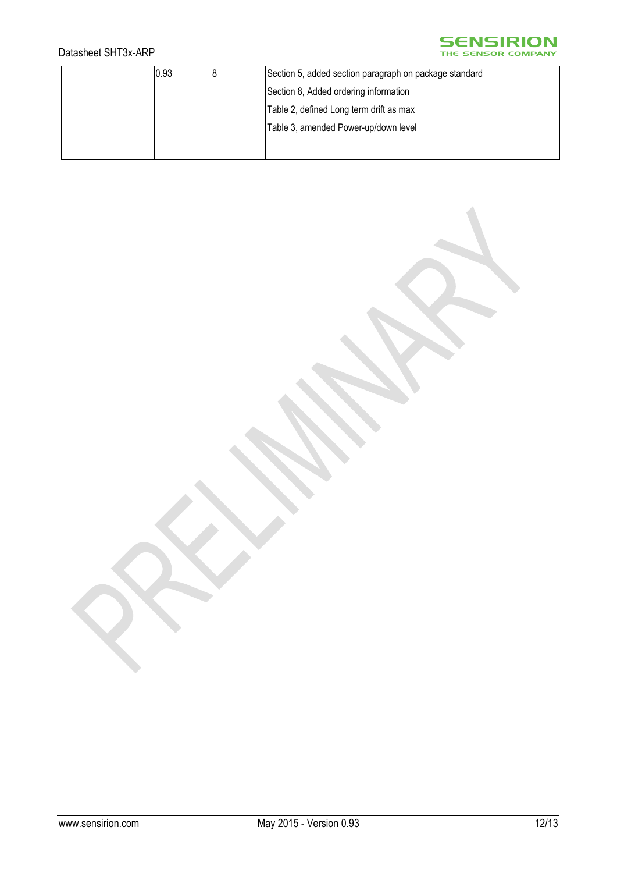## Datasheet SHT3x-ARP

# **SENSIRION**

| 0.93 | Section 5, added section paragraph on package standard |
|------|--------------------------------------------------------|
|      | Section 8, Added ordering information                  |
|      | Table 2, defined Long term drift as max                |
|      | Table 3, amended Power-up/down level                   |
|      |                                                        |